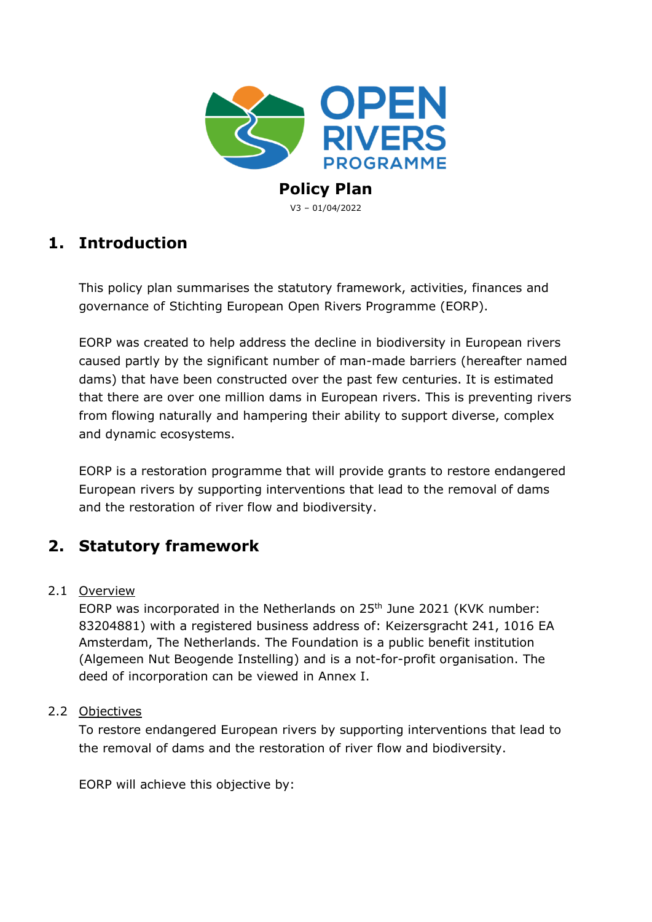

V3 – 01/04/2022

## **1. Introduction**

This policy plan summarises the statutory framework, activities, finances and governance of Stichting European Open Rivers Programme (EORP).

EORP was created to help address the decline in biodiversity in European rivers caused partly by the significant number of man-made barriers (hereafter named dams) that have been constructed over the past few centuries. It is estimated that there are over one million dams in European rivers. This is preventing rivers from flowing naturally and hampering their ability to support diverse, complex and dynamic ecosystems.

EORP is a restoration programme that will provide grants to restore endangered European rivers by supporting interventions that lead to the removal of dams and the restoration of river flow and biodiversity.

## **2. Statutory framework**

## 2.1 Overview

EORP was incorporated in the Netherlands on 25<sup>th</sup> June 2021 (KVK number: 83204881) with a registered business address of: Keizersgracht 241, 1016 EA Amsterdam, The Netherlands. The Foundation is a public benefit institution (Algemeen Nut Beogende Instelling) and is a not-for-profit organisation. The deed of incorporation can be viewed in Annex I.

## 2.2 Objectives

To restore endangered European rivers by supporting interventions that lead to the removal of dams and the restoration of river flow and biodiversity.

EORP will achieve this objective by: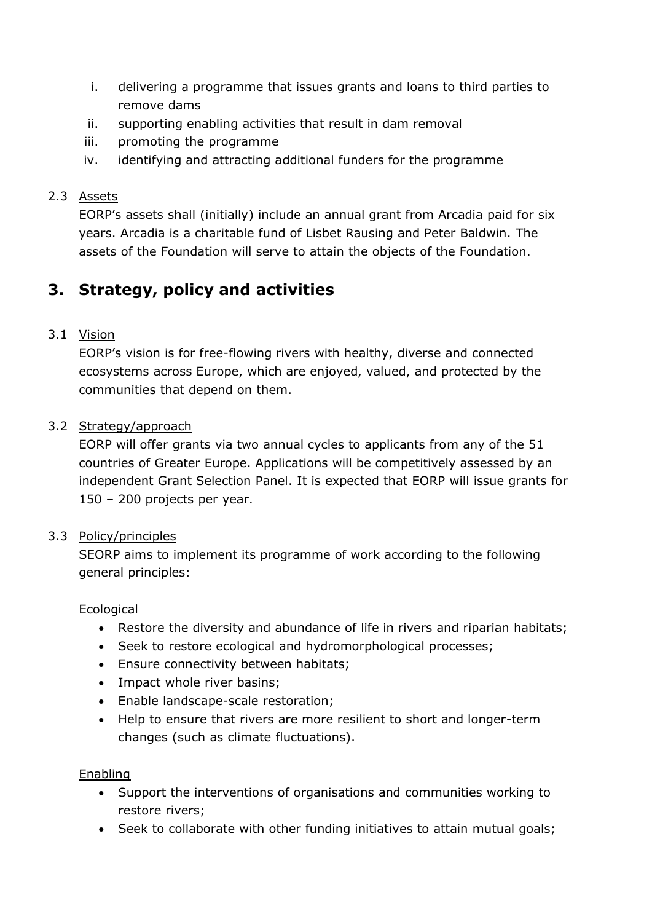- i. delivering a programme that issues grants and loans to third parties to remove dams
- ii. supporting enabling activities that result in dam removal
- iii. promoting the programme
- iv. identifying and attracting additional funders for the programme

## 2.3 Assets

EORP's assets shall (initially) include an annual grant from Arcadia paid for six years. Arcadia is a charitable fund of Lisbet Rausing and Peter Baldwin. The assets of the Foundation will serve to attain the objects of the Foundation.

# **3. Strategy, policy and activities**

## 3.1 Vision

EORP's vision is for free-flowing rivers with healthy, diverse and connected ecosystems across Europe, which are enjoyed, valued, and protected by the communities that depend on them.

## 3.2 Strategy/approach

EORP will offer grants via two annual cycles to applicants from any of the 51 countries of Greater Europe. Applications will be competitively assessed by an independent Grant Selection Panel. It is expected that EORP will issue grants for 150 – 200 projects per year.

## 3.3 Policy/principles

SEORP aims to implement its programme of work according to the following general principles:

## **Ecological**

- Restore the diversity and abundance of life in rivers and riparian habitats;
- Seek to restore ecological and hydromorphological processes;
- Ensure connectivity between habitats;
- Impact whole river basins;
- Enable landscape-scale restoration;
- Help to ensure that rivers are more resilient to short and longer-term changes (such as climate fluctuations).

## Enabling

- Support the interventions of organisations and communities working to restore rivers;
- Seek to collaborate with other funding initiatives to attain mutual goals;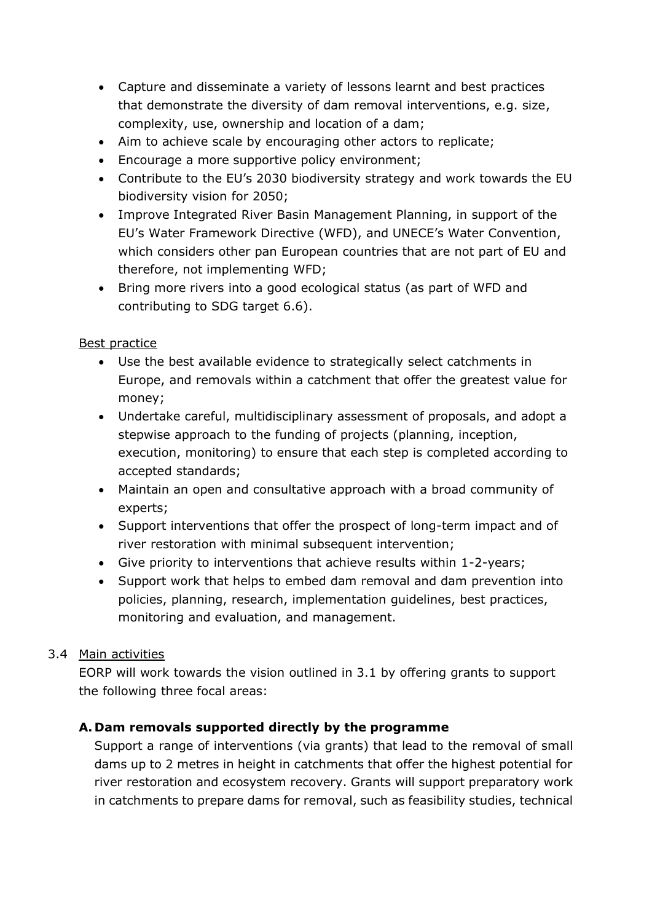- Capture and disseminate a variety of lessons learnt and best practices that demonstrate the diversity of dam removal interventions, e.g. size, complexity, use, ownership and location of a dam;
- Aim to achieve scale by encouraging other actors to replicate;
- Encourage a more supportive policy environment;
- Contribute to the EU's 2030 biodiversity strategy and work towards the EU biodiversity vision for 2050;
- Improve Integrated River Basin Management Planning, in support of the EU's Water Framework Directive (WFD), and UNECE's Water Convention, which considers other pan European countries that are not part of EU and therefore, not implementing WFD;
- Bring more rivers into a good ecological status (as part of WFD and contributing to SDG target 6.6).

## Best practice

- Use the best available evidence to strategically select catchments in Europe, and removals within a catchment that offer the greatest value for money;
- Undertake careful, multidisciplinary assessment of proposals, and adopt a stepwise approach to the funding of projects (planning, inception, execution, monitoring) to ensure that each step is completed according to accepted standards;
- Maintain an open and consultative approach with a broad community of experts;
- Support interventions that offer the prospect of long-term impact and of river restoration with minimal subsequent intervention;
- Give priority to interventions that achieve results within 1-2-years;
- Support work that helps to embed dam removal and dam prevention into policies, planning, research, implementation guidelines, best practices, monitoring and evaluation, and management.

## 3.4 Main activities

EORP will work towards the vision outlined in 3.1 by offering grants to support the following three focal areas:

## **A. Dam removals supported directly by the programme**

Support a range of interventions (via grants) that lead to the removal of small dams up to 2 metres in height in catchments that offer the highest potential for river restoration and ecosystem recovery. Grants will support preparatory work in catchments to prepare dams for removal, such as feasibility studies, technical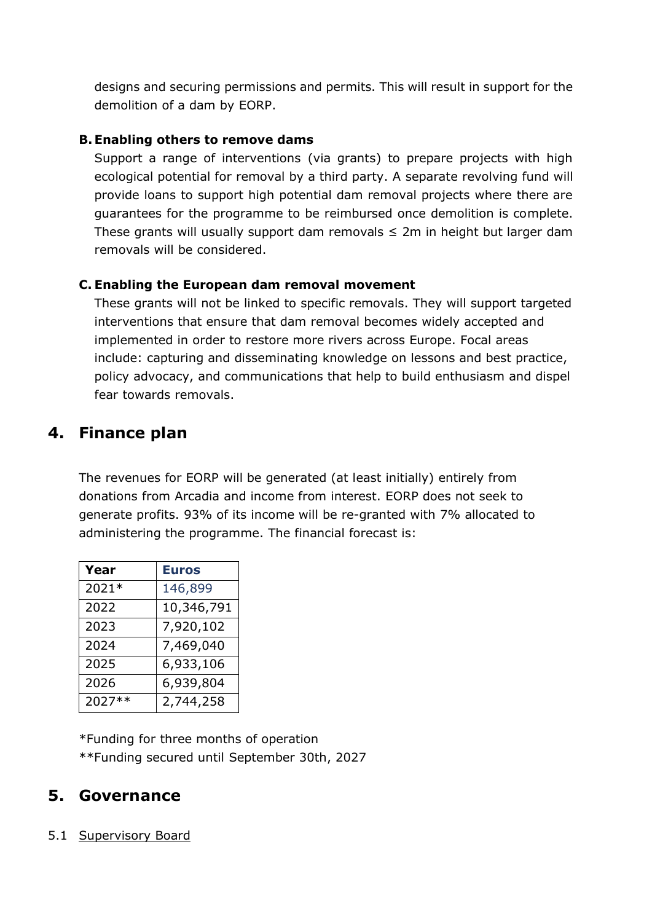designs and securing permissions and permits. This will result in support for the demolition of a dam by EORP.

## **B.Enabling others to remove dams**

Support a range of interventions (via grants) to prepare projects with high ecological potential for removal by a third party. A separate revolving fund will provide loans to support high potential dam removal projects where there are guarantees for the programme to be reimbursed once demolition is complete. These grants will usually support dam removals  $\leq 2m$  in height but larger dam removals will be considered.

## **C. Enabling the European dam removal movement**

These grants will not be linked to specific removals. They will support targeted interventions that ensure that dam removal becomes widely accepted and implemented in order to restore more rivers across Europe. Focal areas include: capturing and disseminating knowledge on lessons and best practice, policy advocacy, and communications that help to build enthusiasm and dispel fear towards removals.

## **4. Finance plan**

The revenues for EORP will be generated (at least initially) entirely from donations from Arcadia and income from interest. EORP does not seek to generate profits. 93% of its income will be re-granted with 7% allocated to administering the programme. The financial forecast is:

| Year   | <b>Euros</b> |
|--------|--------------|
| 2021*  | 146,899      |
| 2022   | 10,346,791   |
| 2023   | 7,920,102    |
| 2024   | 7,469,040    |
| 2025   | 6,933,106    |
| 2026   | 6,939,804    |
| 2027** | 2,744,258    |

\*Funding for three months of operation \*\*Funding secured until September 30th, 2027

## **5. Governance**

## 5.1 Supervisory Board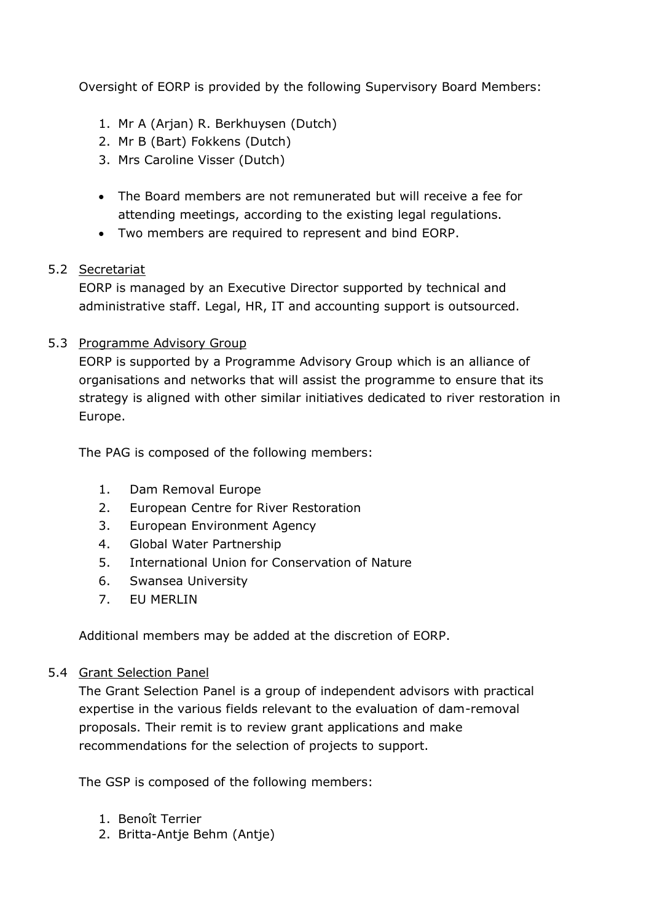Oversight of EORP is provided by the following Supervisory Board Members:

- 1. Mr A (Arjan) R. Berkhuysen (Dutch)
- 2. Mr B (Bart) Fokkens (Dutch)
- 3. Mrs Caroline Visser (Dutch)
- The Board members are not remunerated but will receive a fee for attending meetings, according to the existing legal regulations.
- Two members are required to represent and bind EORP.

## 5.2 Secretariat

EORP is managed by an Executive Director supported by technical and administrative staff. Legal, HR, IT and accounting support is outsourced.

#### 5.3 Programme Advisory Group

EORP is supported by a Programme Advisory Group which is an alliance of organisations and networks that will assist the programme to ensure that its strategy is aligned with other similar initiatives dedicated to river restoration in Europe.

The PAG is composed of the following members:

- 1. Dam Removal Europe
- 2. European Centre for River Restoration
- 3. European Environment Agency
- 4. Global Water Partnership
- 5. International Union for Conservation of Nature
- 6. Swansea University
- 7. EU MERLIN

Additional members may be added at the discretion of EORP.

## 5.4 Grant Selection Panel

The Grant Selection Panel is a group of independent advisors with practical expertise in the various fields relevant to the evaluation of dam-removal proposals. Their remit is to review grant applications and make recommendations for the selection of projects to support.

The GSP is composed of the following members:

- 1. Benoît Terrier
- 2. Britta-Antje Behm (Antje)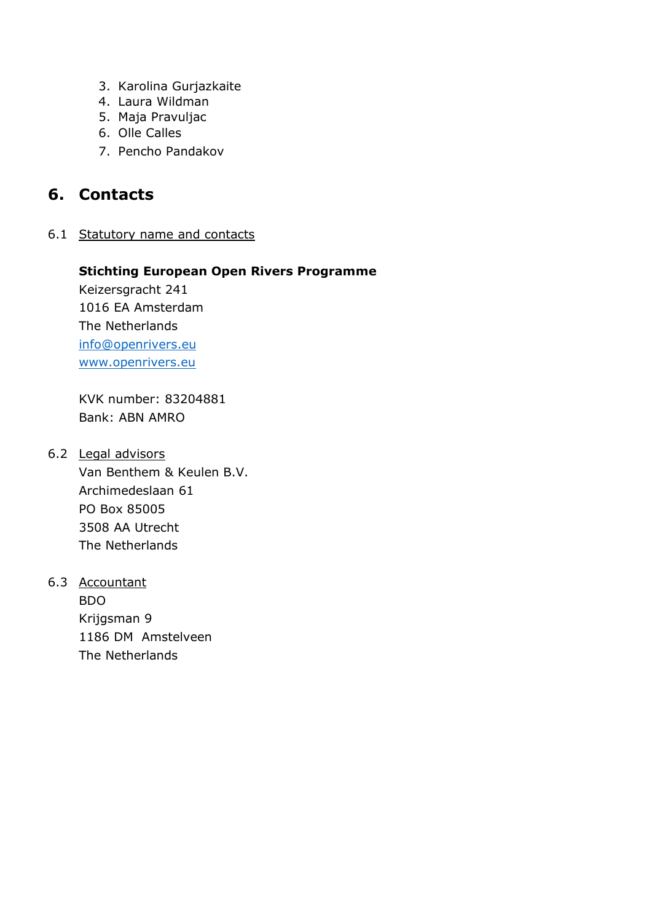- 3. Karolina Gurjazkaite
- 4. Laura Wildman
- 5. Maja Pravuljac
- 6. Olle Calles
- 7. Pencho Pandakov

## **6. Contacts**

6.1 Statutory name and contacts

## **Stichting European Open Rivers Programme**

Keizersgracht 241 1016 EA Amsterdam The Netherlands [info@openrivers.eu](mailto:info@openrivers.eu) [www.openrivers.eu](http://www.openrivers.eu/)

KVK number: 83204881 Bank: ABN AMRO

#### 6.2 Legal advisors

Van Benthem & Keulen B.V. Archimedeslaan 61 PO Box 85005 3508 AA Utrecht The Netherlands

6.3 Accountant

BDO Krijgsman 9 1186 DM Amstelveen The Netherlands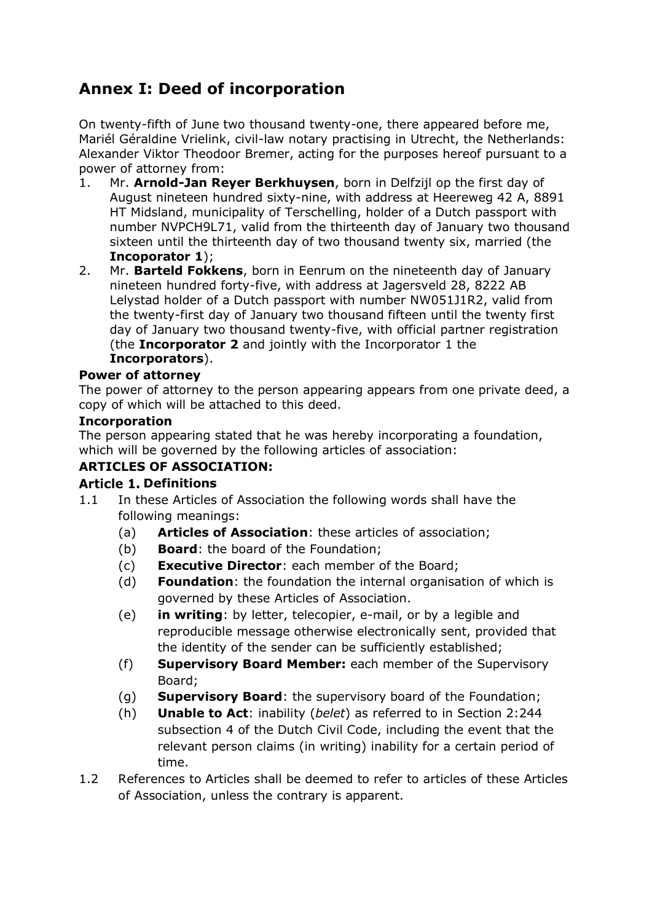# **Annex I: Deed of incorporation**

On twenty-fifth of June two thousand twenty-one, there appeared before me, Mariél Géraldine Vrielink, civil-law notary practising in Utrecht, the Netherlands: Alexander Viktor Theodoor Bremer, acting for the purposes hereof pursuant to a power of attorney from:

- 1. Mr. **Arnold-Jan Reyer Berkhuysen**, born in Delfzijl op the first day of August nineteen hundred sixty-nine, with address at Heereweg 42 A, 8891 HT Midsland, municipality of Terschelling, holder of a Dutch passport with number NVPCH9L71, valid from the thirteenth day of January two thousand sixteen until the thirteenth day of two thousand twenty six, married (the **Incoporator 1**);
- 2. Mr. **Barteld Fokkens**, born in Eenrum on the nineteenth day of January nineteen hundred forty-five, with address at Jagersveld 28, 8222 AB Lelystad holder of a Dutch passport with number NW051J1R2, valid from the twenty-first day of January two thousand fifteen until the twenty first day of January two thousand twenty-five, with official partner registration (the **Incorporator 2** and jointly with the Incorporator 1 the **Incorporators**).

#### **Power of attorney**

The power of attorney to the person appearing appears from one private deed, a copy of which will be attached to this deed.

#### **Incorporation**

The person appearing stated that he was hereby incorporating a foundation, which will be governed by the following articles of association:

#### **ARTICLES OF ASSOCIATION:**

#### **Article 1. Definitions**

- 1.1 In these Articles of Association the following words shall have the following meanings:
	- (a) **Articles of Association**: these articles of association;
	- (b) **Board**: the board of the Foundation;
	- (c) **Executive Director**: each member of the Board;
	- (d) **Foundation**: the foundation the internal organisation of which is governed by these Articles of Association.
	- (e) **in writing**: by letter, telecopier, e-mail, or by a legible and reproducible message otherwise electronically sent, provided that the identity of the sender can be sufficiently established;
	- (f) **Supervisory Board Member:** each member of the Supervisory Board;
	- (g) **Supervisory Board**: the supervisory board of the Foundation;
	- (h) **Unable to Act**: inability (*belet*) as referred to in Section 2:244 subsection 4 of the Dutch Civil Code, including the event that the relevant person claims (in writing) inability for a certain period of time.
- 1.2 References to Articles shall be deemed to refer to articles of these Articles of Association, unless the contrary is apparent.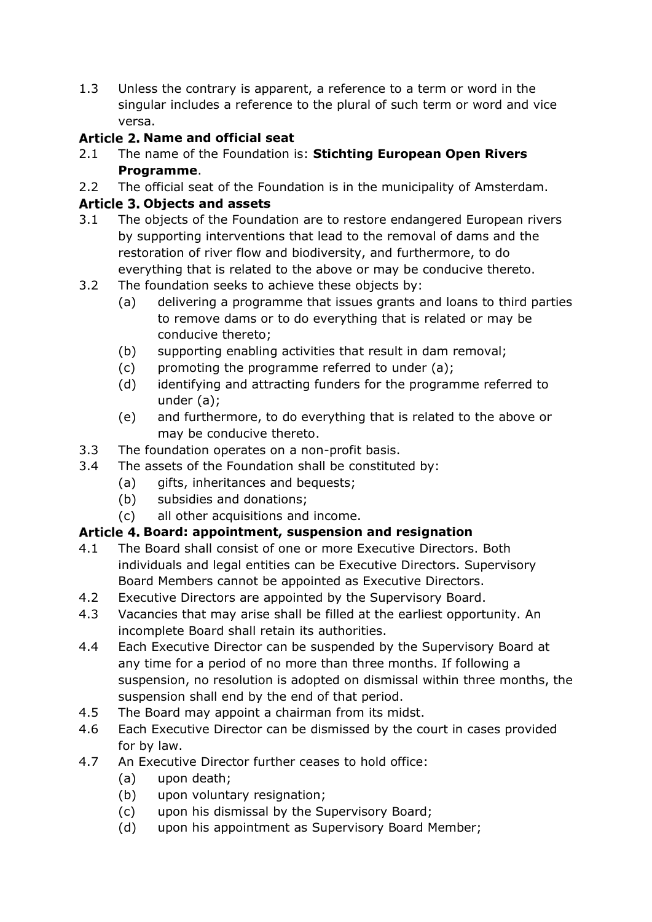1.3 Unless the contrary is apparent, a reference to a term or word in the singular includes a reference to the plural of such term or word and vice versa.

## **Article 2. Name and official seat**

- 2.1 The name of the Foundation is: **Stichting European Open Rivers Programme**.
- 2.2 The official seat of the Foundation is in the municipality of Amsterdam.

## **Objects and assets**

- 3.1 The objects of the Foundation are to restore endangered European rivers by supporting interventions that lead to the removal of dams and the restoration of river flow and biodiversity, and furthermore, to do everything that is related to the above or may be conducive thereto.
- 3.2 The foundation seeks to achieve these objects by:
	- (a) delivering a programme that issues grants and loans to third parties to remove dams or to do everything that is related or may be conducive thereto;
	- (b) supporting enabling activities that result in dam removal;
	- (c) promoting the programme referred to under (a);
	- (d) identifying and attracting funders for the programme referred to under (a);
	- (e) and furthermore, to do everything that is related to the above or may be conducive thereto.
- 3.3 The foundation operates on a non-profit basis.
- 3.4 The assets of the Foundation shall be constituted by:
	- (a) gifts, inheritances and bequests;
	- (b) subsidies and donations;
	- (c) all other acquisitions and income.

## **Board: appointment, suspension and resignation**

- 4.1 The Board shall consist of one or more Executive Directors. Both individuals and legal entities can be Executive Directors. Supervisory Board Members cannot be appointed as Executive Directors.
- 4.2 Executive Directors are appointed by the Supervisory Board.
- 4.3 Vacancies that may arise shall be filled at the earliest opportunity. An incomplete Board shall retain its authorities.
- 4.4 Each Executive Director can be suspended by the Supervisory Board at any time for a period of no more than three months. If following a suspension, no resolution is adopted on dismissal within three months, the suspension shall end by the end of that period.
- 4.5 The Board may appoint a chairman from its midst.
- 4.6 Each Executive Director can be dismissed by the court in cases provided for by law.
- 4.7 An Executive Director further ceases to hold office:
	- (a) upon death;
	- (b) upon voluntary resignation;
	- (c) upon his dismissal by the Supervisory Board;
	- (d) upon his appointment as Supervisory Board Member;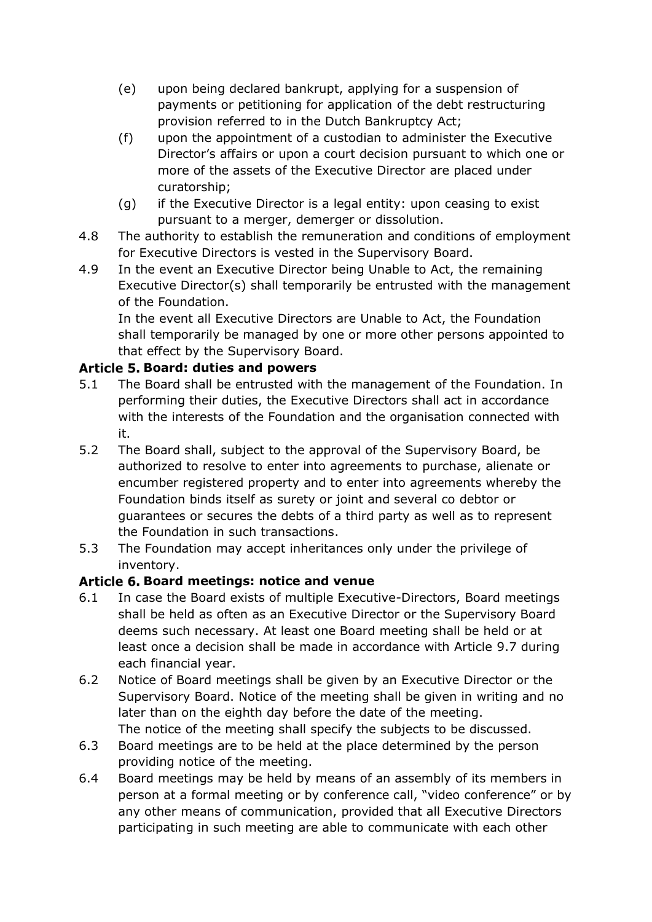- (e) upon being declared bankrupt, applying for a suspension of payments or petitioning for application of the debt restructuring provision referred to in the Dutch Bankruptcy Act;
- (f) upon the appointment of a custodian to administer the Executive Director's affairs or upon a court decision pursuant to which one or more of the assets of the Executive Director are placed under curatorship;
- (g) if the Executive Director is a legal entity: upon ceasing to exist pursuant to a merger, demerger or dissolution.
- 4.8 The authority to establish the remuneration and conditions of employment for Executive Directors is vested in the Supervisory Board.
- 4.9 In the event an Executive Director being Unable to Act, the remaining Executive Director(s) shall temporarily be entrusted with the management of the Foundation.

In the event all Executive Directors are Unable to Act, the Foundation shall temporarily be managed by one or more other persons appointed to that effect by the Supervisory Board.

## **Board: duties and powers**

- 5.1 The Board shall be entrusted with the management of the Foundation. In performing their duties, the Executive Directors shall act in accordance with the interests of the Foundation and the organisation connected with it.
- 5.2 The Board shall, subject to the approval of the Supervisory Board, be authorized to resolve to enter into agreements to purchase, alienate or encumber registered property and to enter into agreements whereby the Foundation binds itself as surety or joint and several co debtor or guarantees or secures the debts of a third party as well as to represent the Foundation in such transactions.
- 5.3 The Foundation may accept inheritances only under the privilege of inventory.

## **Board meetings: notice and venue**

- 6.1 In case the Board exists of multiple Executive-Directors, Board meetings shall be held as often as an Executive Director or the Supervisory Board deems such necessary. At least one Board meeting shall be held or at least once a decision shall be made in accordance with Article [9.7](#page-9-0) during each financial year.
- 6.2 Notice of Board meetings shall be given by an Executive Director or the Supervisory Board. Notice of the meeting shall be given in writing and no later than on the eighth day before the date of the meeting. The notice of the meeting shall specify the subjects to be discussed.
- 6.3 Board meetings are to be held at the place determined by the person providing notice of the meeting.
- 6.4 Board meetings may be held by means of an assembly of its members in person at a formal meeting or by conference call, "video conference" or by any other means of communication, provided that all Executive Directors participating in such meeting are able to communicate with each other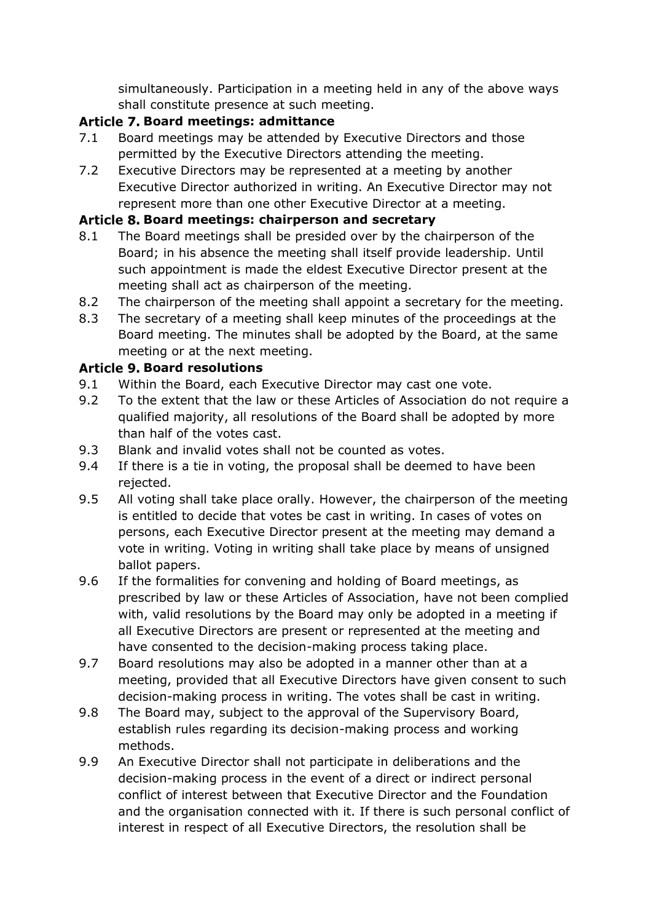simultaneously. Participation in a meeting held in any of the above ways shall constitute presence at such meeting.

## **Board meetings: admittance**

- 7.1 Board meetings may be attended by Executive Directors and those permitted by the Executive Directors attending the meeting.
- 7.2 Executive Directors may be represented at a meeting by another Executive Director authorized in writing. An Executive Director may not represent more than one other Executive Director at a meeting.

## **Board meetings: chairperson and secretary**

- 8.1 The Board meetings shall be presided over by the chairperson of the Board; in his absence the meeting shall itself provide leadership. Until such appointment is made the eldest Executive Director present at the meeting shall act as chairperson of the meeting.
- 8.2 The chairperson of the meeting shall appoint a secretary for the meeting.
- 8.3 The secretary of a meeting shall keep minutes of the proceedings at the Board meeting. The minutes shall be adopted by the Board, at the same meeting or at the next meeting.

## **Article 9. Board resolutions**

- 9.1 Within the Board, each Executive Director may cast one vote.
- 9.2 To the extent that the law or these Articles of Association do not require a qualified majority, all resolutions of the Board shall be adopted by more than half of the votes cast.
- <span id="page-9-1"></span>9.3 Blank and invalid votes shall not be counted as votes.
- 9.4 If there is a tie in voting, the proposal shall be deemed to have been rejected.
- 9.5 All voting shall take place orally. However, the chairperson of the meeting is entitled to decide that votes be cast in writing. In cases of votes on persons, each Executive Director present at the meeting may demand a vote in writing. Voting in writing shall take place by means of unsigned ballot papers.
- <span id="page-9-2"></span>9.6 If the formalities for convening and holding of Board meetings, as prescribed by law or these Articles of Association, have not been complied with, valid resolutions by the Board may only be adopted in a meeting if all Executive Directors are present or represented at the meeting and have consented to the decision-making process taking place.
- <span id="page-9-0"></span>9.7 Board resolutions may also be adopted in a manner other than at a meeting, provided that all Executive Directors have given consent to such decision-making process in writing. The votes shall be cast in writing.
- 9.8 The Board may, subject to the approval of the Supervisory Board, establish rules regarding its decision-making process and working methods.
- 9.9 An Executive Director shall not participate in deliberations and the decision-making process in the event of a direct or indirect personal conflict of interest between that Executive Director and the Foundation and the organisation connected with it. If there is such personal conflict of interest in respect of all Executive Directors, the resolution shall be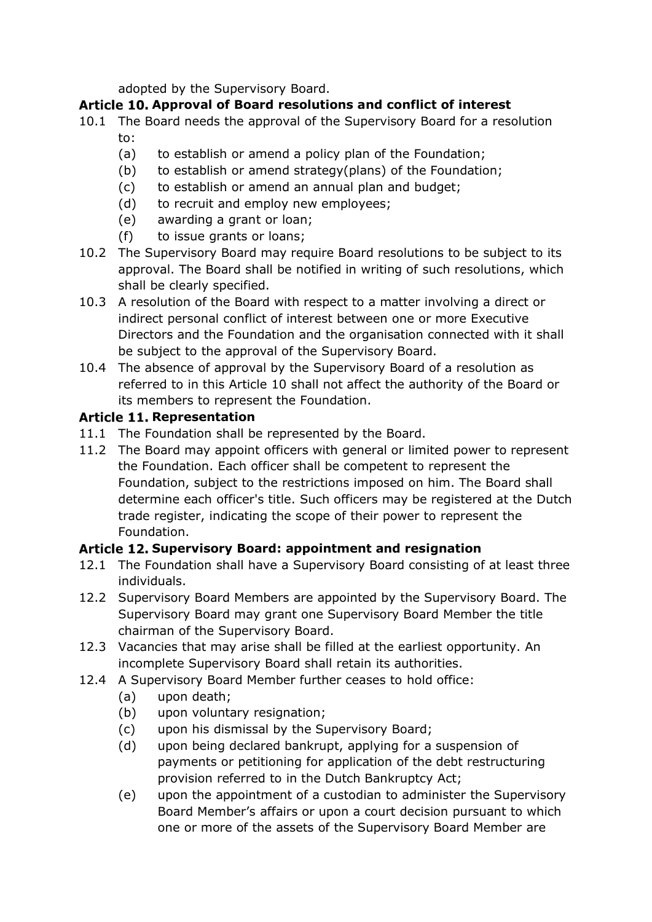adopted by the Supervisory Board.

## <span id="page-10-0"></span>Article 10. Approval of Board resolutions and conflict of interest

- 10.1 The Board needs the approval of the Supervisory Board for a resolution to:
	- (a) to establish or amend a policy plan of the Foundation;
	- (b) to establish or amend strategy(plans) of the Foundation;
	- (c) to establish or amend an annual plan and budget;
	- (d) to recruit and employ new employees;
	- (e) awarding a grant or loan;
	- (f) to issue grants or loans;
- 10.2 The Supervisory Board may require Board resolutions to be subject to its approval. The Board shall be notified in writing of such resolutions, which shall be clearly specified.
- 10.3 A resolution of the Board with respect to a matter involving a direct or indirect personal conflict of interest between one or more Executive Directors and the Foundation and the organisation connected with it shall be subject to the approval of the Supervisory Board.
- 10.4 The absence of approval by the Supervisory Board of a resolution as referred to in this [Article 10](#page-10-0) shall not affect the authority of the Board or its members to represent the Foundation.

## **Article 11. Representation**

- 11.1 The Foundation shall be represented by the Board.
- 11.2 The Board may appoint officers with general or limited power to represent the Foundation. Each officer shall be competent to represent the Foundation, subject to the restrictions imposed on him. The Board shall determine each officer's title. Such officers may be registered at the Dutch trade register, indicating the scope of their power to represent the Foundation.

## **Supervisory Board: appointment and resignation**

- 12.1 The Foundation shall have a Supervisory Board consisting of at least three individuals.
- 12.2 Supervisory Board Members are appointed by the Supervisory Board. The Supervisory Board may grant one Supervisory Board Member the title chairman of the Supervisory Board.
- 12.3 Vacancies that may arise shall be filled at the earliest opportunity. An incomplete Supervisory Board shall retain its authorities.
- 12.4 A Supervisory Board Member further ceases to hold office:
	- (a) upon death;
	- (b) upon voluntary resignation;
	- (c) upon his dismissal by the Supervisory Board;
	- (d) upon being declared bankrupt, applying for a suspension of payments or petitioning for application of the debt restructuring provision referred to in the Dutch Bankruptcy Act;
	- (e) upon the appointment of a custodian to administer the Supervisory Board Member's affairs or upon a court decision pursuant to which one or more of the assets of the Supervisory Board Member are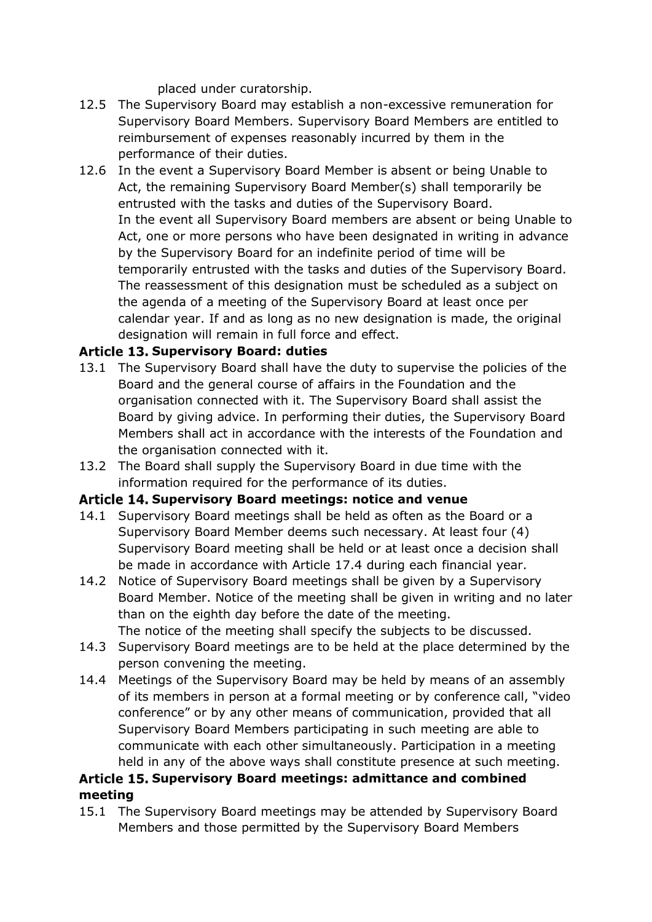placed under curatorship.

- 12.5 The Supervisory Board may establish a non-excessive remuneration for Supervisory Board Members. Supervisory Board Members are entitled to reimbursement of expenses reasonably incurred by them in the performance of their duties.
- 12.6 In the event a Supervisory Board Member is absent or being Unable to Act, the remaining Supervisory Board Member(s) shall temporarily be entrusted with the tasks and duties of the Supervisory Board. In the event all Supervisory Board members are absent or being Unable to Act, one or more persons who have been designated in writing in advance by the Supervisory Board for an indefinite period of time will be temporarily entrusted with the tasks and duties of the Supervisory Board. The reassessment of this designation must be scheduled as a subject on the agenda of a meeting of the Supervisory Board at least once per calendar year. If and as long as no new designation is made, the original designation will remain in full force and effect.

## **Supervisory Board: duties**

- 13.1 The Supervisory Board shall have the duty to supervise the policies of the Board and the general course of affairs in the Foundation and the organisation connected with it. The Supervisory Board shall assist the Board by giving advice. In performing their duties, the Supervisory Board Members shall act in accordance with the interests of the Foundation and the organisation connected with it.
- 13.2 The Board shall supply the Supervisory Board in due time with the information required for the performance of its duties.

## **Supervisory Board meetings: notice and venue**

- 14.1 Supervisory Board meetings shall be held as often as the Board or a Supervisory Board Member deems such necessary. At least four (4) Supervisory Board meeting shall be held or at least once a decision shall be made in accordance with Article [17.4](#page-12-0) during each financial year.
- 14.2 Notice of Supervisory Board meetings shall be given by a Supervisory Board Member. Notice of the meeting shall be given in writing and no later than on the eighth day before the date of the meeting. The notice of the meeting shall specify the subjects to be discussed.
- 14.3 Supervisory Board meetings are to be held at the place determined by the person convening the meeting.
- 14.4 Meetings of the Supervisory Board may be held by means of an assembly of its members in person at a formal meeting or by conference call, "video conference" or by any other means of communication, provided that all Supervisory Board Members participating in such meeting are able to communicate with each other simultaneously. Participation in a meeting held in any of the above ways shall constitute presence at such meeting.

## Article 15. Supervisory Board meetings: admittance and combined **meeting**

15.1 The Supervisory Board meetings may be attended by Supervisory Board Members and those permitted by the Supervisory Board Members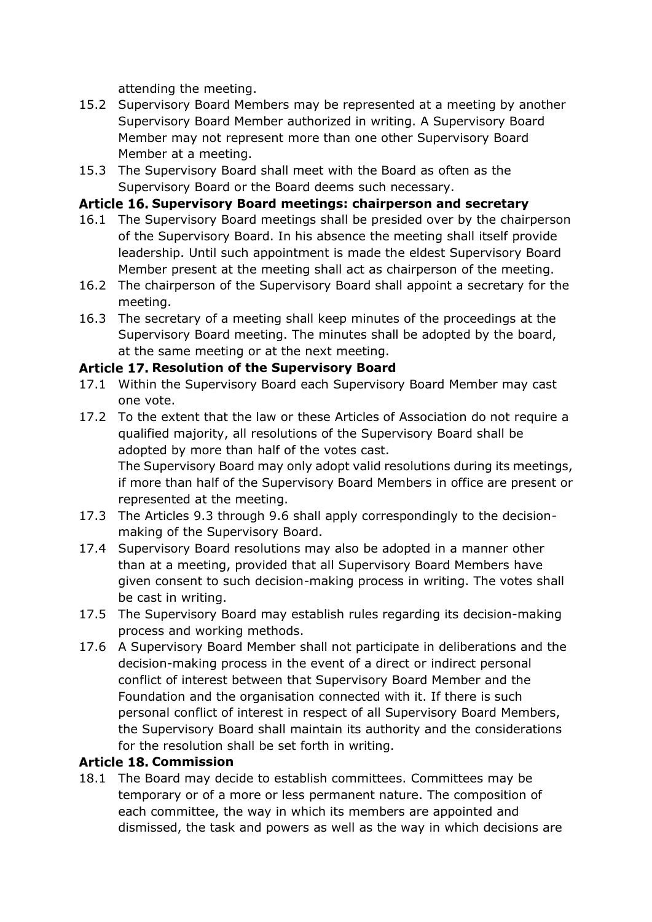attending the meeting.

- 15.2 Supervisory Board Members may be represented at a meeting by another Supervisory Board Member authorized in writing. A Supervisory Board Member may not represent more than one other Supervisory Board Member at a meeting.
- 15.3 The Supervisory Board shall meet with the Board as often as the Supervisory Board or the Board deems such necessary.

## **Supervisory Board meetings: chairperson and secretary**

- 16.1 The Supervisory Board meetings shall be presided over by the chairperson of the Supervisory Board. In his absence the meeting shall itself provide leadership. Until such appointment is made the eldest Supervisory Board Member present at the meeting shall act as chairperson of the meeting.
- 16.2 The chairperson of the Supervisory Board shall appoint a secretary for the meeting.
- 16.3 The secretary of a meeting shall keep minutes of the proceedings at the Supervisory Board meeting. The minutes shall be adopted by the board, at the same meeting or at the next meeting.

## **Article 17. Resolution of the Supervisory Board**

- 17.1 Within the Supervisory Board each Supervisory Board Member may cast one vote.
- 17.2 To the extent that the law or these Articles of Association do not require a qualified majority, all resolutions of the Supervisory Board shall be adopted by more than half of the votes cast. The Supervisory Board may only adopt valid resolutions during its meetings,

if more than half of the Supervisory Board Members in office are present or represented at the meeting.

- 17.3 The Articles [9.3](#page-9-1) through [9.6](#page-9-2) shall apply correspondingly to the decisionmaking of the Supervisory Board.
- <span id="page-12-0"></span>17.4 Supervisory Board resolutions may also be adopted in a manner other than at a meeting, provided that all Supervisory Board Members have given consent to such decision-making process in writing. The votes shall be cast in writing.
- 17.5 The Supervisory Board may establish rules regarding its decision-making process and working methods.
- 17.6 A Supervisory Board Member shall not participate in deliberations and the decision-making process in the event of a direct or indirect personal conflict of interest between that Supervisory Board Member and the Foundation and the organisation connected with it. If there is such personal conflict of interest in respect of all Supervisory Board Members, the Supervisory Board shall maintain its authority and the considerations for the resolution shall be set forth in writing.

## **Article 18. Commission**

18.1 The Board may decide to establish committees. Committees may be temporary or of a more or less permanent nature. The composition of each committee, the way in which its members are appointed and dismissed, the task and powers as well as the way in which decisions are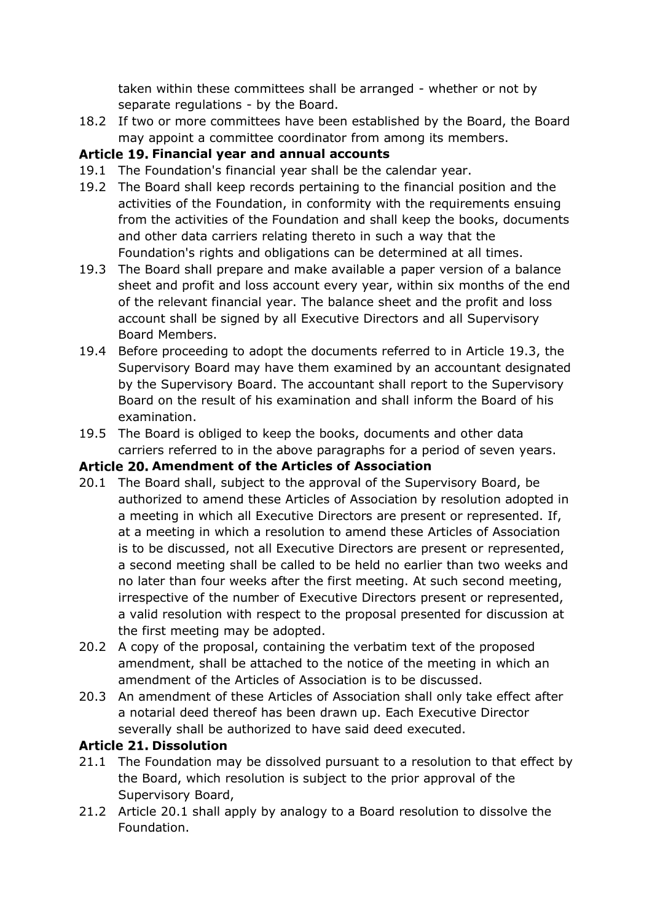taken within these committees shall be arranged - whether or not by separate regulations - by the Board.

18.2 If two or more committees have been established by the Board, the Board may appoint a committee coordinator from among its members.

## Article 19. Financial year and annual accounts

- 19.1 The Foundation's financial year shall be the calendar year.
- 19.2 The Board shall keep records pertaining to the financial position and the activities of the Foundation, in conformity with the requirements ensuing from the activities of the Foundation and shall keep the books, documents and other data carriers relating thereto in such a way that the Foundation's rights and obligations can be determined at all times.
- <span id="page-13-0"></span>19.3 The Board shall prepare and make available a paper version of a balance sheet and profit and loss account every year, within six months of the end of the relevant financial year. The balance sheet and the profit and loss account shall be signed by all Executive Directors and all Supervisory Board Members.
- 19.4 Before proceeding to adopt the documents referred to in Article [19.3,](#page-13-0) the Supervisory Board may have them examined by an accountant designated by the Supervisory Board. The accountant shall report to the Supervisory Board on the result of his examination and shall inform the Board of his examination.
- 19.5 The Board is obliged to keep the books, documents and other data carriers referred to in the above paragraphs for a period of seven years.

## **Amendment of the Articles of Association**

- <span id="page-13-1"></span>20.1 The Board shall, subject to the approval of the Supervisory Board, be authorized to amend these Articles of Association by resolution adopted in a meeting in which all Executive Directors are present or represented. If, at a meeting in which a resolution to amend these Articles of Association is to be discussed, not all Executive Directors are present or represented, a second meeting shall be called to be held no earlier than two weeks and no later than four weeks after the first meeting. At such second meeting, irrespective of the number of Executive Directors present or represented, a valid resolution with respect to the proposal presented for discussion at the first meeting may be adopted.
- 20.2 A copy of the proposal, containing the verbatim text of the proposed amendment, shall be attached to the notice of the meeting in which an amendment of the Articles of Association is to be discussed.
- 20.3 An amendment of these Articles of Association shall only take effect after a notarial deed thereof has been drawn up. Each Executive Director severally shall be authorized to have said deed executed.

## **Article 21. Dissolution**

- 21.1 The Foundation may be dissolved pursuant to a resolution to that effect by the Board, which resolution is subject to the prior approval of the Supervisory Board,
- 21.2 Article [20.1](#page-13-1) shall apply by analogy to a Board resolution to dissolve the Foundation.